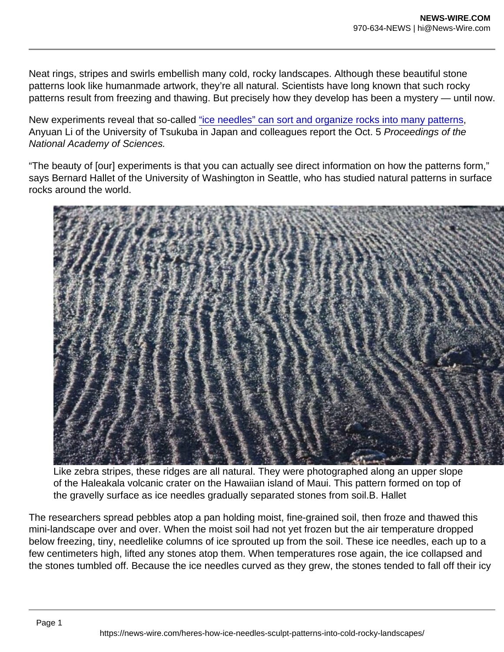Neat rings, stripes and swirls embellish many cold, rocky landscapes. Although these beautiful stone patterns look like humanmade artwork, they're all natural. Scientists have long known that such rocky patterns result from freezing and thawing. But precisely how they develop has been a mystery — until now.

New experiments reveal that so-called ["ice needles" can sort and organize rocks into many patterns](https://www.pnas.org/content/118/40/e2110670118), Anyuan Li of the University of Tsukuba in Japan and colleagues report the Oct. 5 Proceedings of the National Academy of Sciences.

"The beauty of [our] experiments is that you can actually see direct information on how the patterns form," says Bernard Hallet of the University of Washington in Seattle, who has studied natural patterns in surface rocks around the world.

Like zebra stripes, these ridges are all natural. They were photographed along an upper slope of the Haleakala volcanic crater on the Hawaiian island of Maui. This pattern formed on top of the gravelly surface as ice needles gradually separated stones from soil.B. Hallet

The researchers spread pebbles atop a pan holding moist, fine-grained soil, then froze and thawed this mini-landscape over and over. When the moist soil had not yet frozen but the air temperature dropped below freezing, tiny, needlelike columns of ice sprouted up from the soil. These ice needles, each up to a few centimeters high, lifted any stones atop them. When temperatures rose again, the ice collapsed and the stones tumbled off. Because the ice needles curved as they grew, the stones tended to fall off their icy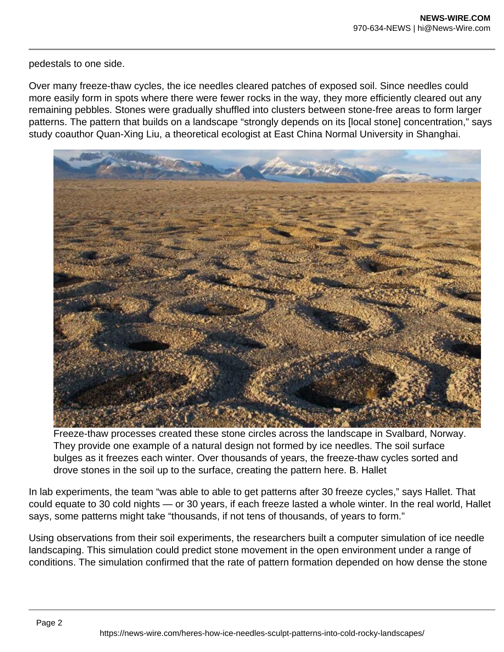pedestals to one side.

Over many freeze-thaw cycles, the ice needles cleared patches of exposed soil. Since needles could more easily form in spots where there were fewer rocks in the way, they more efficiently cleared out any remaining pebbles. Stones were gradually shuffled into clusters between stone-free areas to form larger patterns. The pattern that builds on a landscape "strongly depends on its [local stone] concentration," says study coauthor Quan-Xing Liu, a theoretical ecologist at East China Normal University in Shanghai.



Freeze-thaw processes created these stone circles across the landscape in Svalbard, Norway. They provide one example of a natural design not formed by ice needles. The soil surface bulges as it freezes each winter. Over thousands of years, the freeze-thaw cycles sorted and drove stones in the soil up to the surface, creating the pattern here. B. Hallet

In lab experiments, the team "was able to able to get patterns after 30 freeze cycles," says Hallet. That could equate to 30 cold nights — or 30 years, if each freeze lasted a whole winter. In the real world, Hallet says, some patterns might take "thousands, if not tens of thousands, of years to form."

Using observations from their soil experiments, the researchers built a computer simulation of ice needle landscaping. This simulation could predict stone movement in the open environment under a range of conditions. The simulation confirmed that the rate of pattern formation depended on how dense the stone